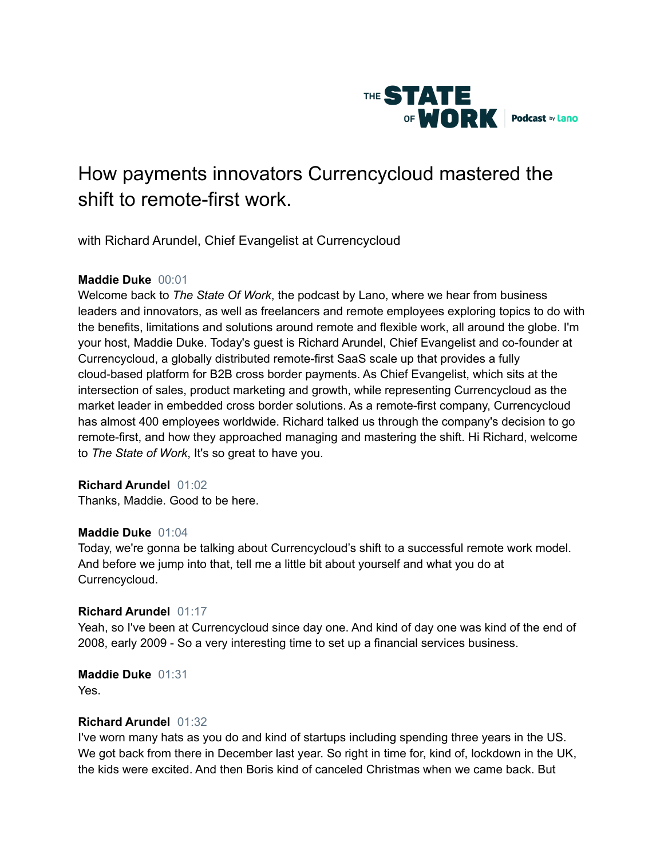

# How payments innovators Currencycloud mastered the shift to remote-first work.

with Richard Arundel, Chief Evangelist at Currencycloud

## **Maddie Duke** 00:01

Welcome back to *The State Of Work*, the podcast by Lano, where we hear from business leaders and innovators, as well as freelancers and remote employees exploring topics to do with the benefits, limitations and solutions around remote and flexible work, all around the globe. I'm your host, Maddie Duke. Today's guest is Richard Arundel, Chief Evangelist and co-founder at Currencycloud, a globally distributed remote-first SaaS scale up that provides a fully cloud-based platform for B2B cross border payments. As Chief Evangelist, which sits at the intersection of sales, product marketing and growth, while representing Currencycloud as the market leader in embedded cross border solutions. As a remote-first company, Currencycloud has almost 400 employees worldwide. Richard talked us through the company's decision to go remote-first, and how they approached managing and mastering the shift. Hi Richard, welcome to *The State of Work*, It's so great to have you.

## **Richard Arundel** 01:02

Thanks, Maddie. Good to be here.

#### **Maddie Duke** 01:04

Today, we're gonna be talking about Currencycloud's shift to a successful remote work model. And before we jump into that, tell me a little bit about yourself and what you do at Currencycloud.

## **Richard Arundel** 01:17

Yeah, so I've been at Currencycloud since day one. And kind of day one was kind of the end of 2008, early 2009 - So a very interesting time to set up a financial services business.

## **Maddie Duke** 01:31

Yes.

## **Richard Arundel** 01:32

I've worn many hats as you do and kind of startups including spending three years in the US. We got back from there in December last year. So right in time for, kind of, lockdown in the UK, the kids were excited. And then Boris kind of canceled Christmas when we came back. But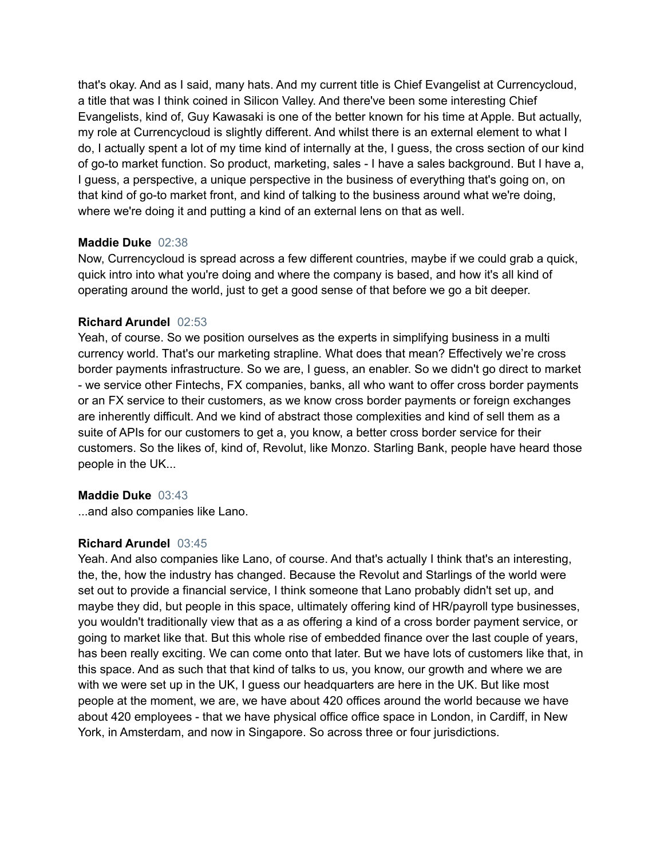that's okay. And as I said, many hats. And my current title is Chief Evangelist at Currencycloud, a title that was I think coined in Silicon Valley. And there've been some interesting Chief Evangelists, kind of, Guy Kawasaki is one of the better known for his time at Apple. But actually, my role at Currencycloud is slightly different. And whilst there is an external element to what I do, I actually spent a lot of my time kind of internally at the, I guess, the cross section of our kind of go-to market function. So product, marketing, sales - I have a sales background. But I have a, I guess, a perspective, a unique perspective in the business of everything that's going on, on that kind of go-to market front, and kind of talking to the business around what we're doing, where we're doing it and putting a kind of an external lens on that as well.

#### **Maddie Duke** 02:38

Now, Currencycloud is spread across a few different countries, maybe if we could grab a quick, quick intro into what you're doing and where the company is based, and how it's all kind of operating around the world, just to get a good sense of that before we go a bit deeper.

#### **Richard Arundel** 02:53

Yeah, of course. So we position ourselves as the experts in simplifying business in a multi currency world. That's our marketing strapline. What does that mean? Effectively we're cross border payments infrastructure. So we are, I guess, an enabler. So we didn't go direct to market - we service other Fintechs, FX companies, banks, all who want to offer cross border payments or an FX service to their customers, as we know cross border payments or foreign exchanges are inherently difficult. And we kind of abstract those complexities and kind of sell them as a suite of APIs for our customers to get a, you know, a better cross border service for their customers. So the likes of, kind of, Revolut, like Monzo. Starling Bank, people have heard those people in the UK...

#### **Maddie Duke** 03:43

...and also companies like Lano.

## **Richard Arundel** 03:45

Yeah. And also companies like Lano, of course. And that's actually I think that's an interesting, the, the, how the industry has changed. Because the Revolut and Starlings of the world were set out to provide a financial service, I think someone that Lano probably didn't set up, and maybe they did, but people in this space, ultimately offering kind of HR/payroll type businesses, you wouldn't traditionally view that as a as offering a kind of a cross border payment service, or going to market like that. But this whole rise of embedded finance over the last couple of years, has been really exciting. We can come onto that later. But we have lots of customers like that, in this space. And as such that that kind of talks to us, you know, our growth and where we are with we were set up in the UK, I guess our headquarters are here in the UK. But like most people at the moment, we are, we have about 420 offices around the world because we have about 420 employees - that we have physical office office space in London, in Cardiff, in New York, in Amsterdam, and now in Singapore. So across three or four jurisdictions.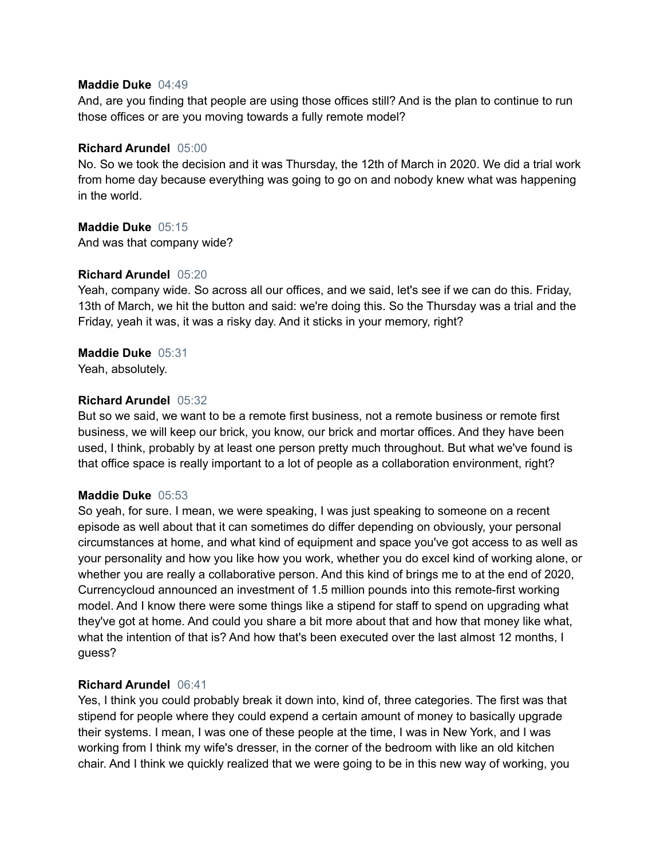#### **Maddie Duke** 04:49

And, are you finding that people are using those offices still? And is the plan to continue to run those offices or are you moving towards a fully remote model?

## **Richard Arundel** 05:00

No. So we took the decision and it was Thursday, the 12th of March in 2020. We did a trial work from home day because everything was going to go on and nobody knew what was happening in the world.

## **Maddie Duke** 05:15

And was that company wide?

## **Richard Arundel** 05:20

Yeah, company wide. So across all our offices, and we said, let's see if we can do this. Friday, 13th of March, we hit the button and said: we're doing this. So the Thursday was a trial and the Friday, yeah it was, it was a risky day. And it sticks in your memory, right?

## **Maddie Duke** 05:31

Yeah, absolutely.

## **Richard Arundel** 05:32

But so we said, we want to be a remote first business, not a remote business or remote first business, we will keep our brick, you know, our brick and mortar offices. And they have been used, I think, probably by at least one person pretty much throughout. But what we've found is that office space is really important to a lot of people as a collaboration environment, right?

## **Maddie Duke** 05:53

So yeah, for sure. I mean, we were speaking, I was just speaking to someone on a recent episode as well about that it can sometimes do differ depending on obviously, your personal circumstances at home, and what kind of equipment and space you've got access to as well as your personality and how you like how you work, whether you do excel kind of working alone, or whether you are really a collaborative person. And this kind of brings me to at the end of 2020, Currencycloud announced an investment of 1.5 million pounds into this remote-first working model. And I know there were some things like a stipend for staff to spend on upgrading what they've got at home. And could you share a bit more about that and how that money like what, what the intention of that is? And how that's been executed over the last almost 12 months, I guess?

## **Richard Arundel** 06:41

Yes, I think you could probably break it down into, kind of, three categories. The first was that stipend for people where they could expend a certain amount of money to basically upgrade their systems. I mean, I was one of these people at the time, I was in New York, and I was working from I think my wife's dresser, in the corner of the bedroom with like an old kitchen chair. And I think we quickly realized that we were going to be in this new way of working, you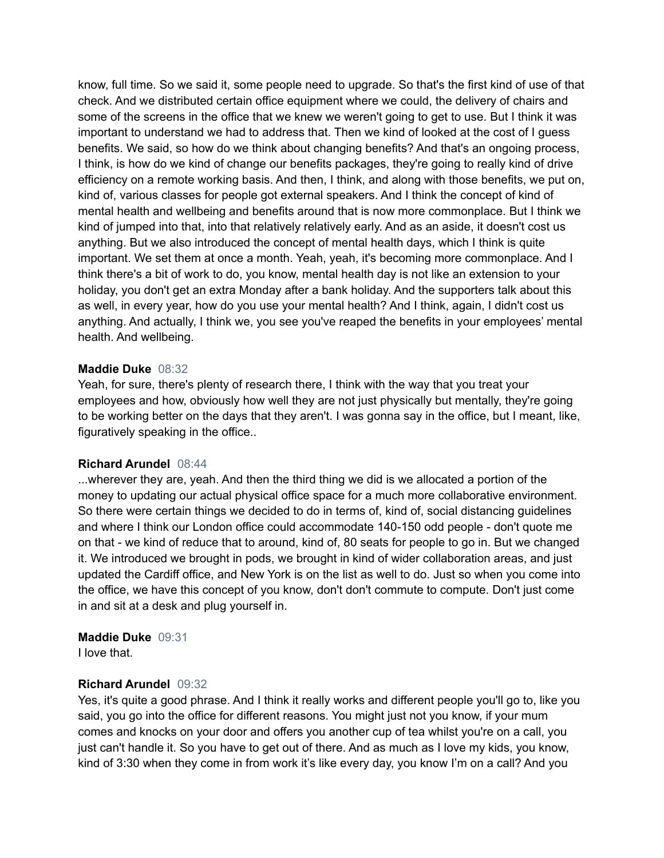know, full time. So we said it, some people need to upgrade. So that's the first kind of use of that check. And we distributed certain office equipment where we could, the delivery of chairs and some of the screens in the office that we knew we weren't going to get to use. But I think it was important to understand we had to address that. Then we kind of looked at the cost of I guess benefits. We said, so how do we think about changing benefits? And that's an ongoing process, I think, is how do we kind of change our benefits packages, they're going to really kind of drive efficiency on a remote working basis. And then, I think, and along with those benefits, we put on, kind of, various classes for people got external speakers. And I think the concept of kind of mental health and wellbeing and benefits around that is now more commonplace. But I think we kind of jumped into that, into that relatively relatively early. And as an aside, it doesn't cost us anything. But we also introduced the concept of mental health days, which I think is quite important. We set them at once a month. Yeah, yeah, it's becoming more commonplace. And I think there's a bit of work to do, you know, mental health day is not like an extension to your holiday, you don't get an extra Monday after a bank holiday. And the supporters talk about this as well, in every year, how do you use your mental health? And I think, again, I didn't cost us anything. And actually, I think we, you see you've reaped the benefits in your employees' mental health. And wellbeing.

#### **Maddie Duke** 08:32

Yeah, for sure, there's plenty of research there, I think with the way that you treat your employees and how, obviously how well they are not just physically but mentally, they're going to be working better on the days that they aren't. I was gonna say in the office, but I meant, like, figuratively speaking in the office..

#### **Richard Arundel** 08:44

...wherever they are, yeah. And then the third thing we did is we allocated a portion of the money to updating our actual physical office space for a much more collaborative environment. So there were certain things we decided to do in terms of, kind of, social distancing guidelines and where I think our London office could accommodate 140-150 odd people - don't quote me on that - we kind of reduce that to around, kind of, 80 seats for people to go in. But we changed it. We introduced we brought in pods, we brought in kind of wider collaboration areas, and just updated the Cardiff office, and New York is on the list as well to do. Just so when you come into the office, we have this concept of you know, don't don't commute to compute. Don't just come in and sit at a desk and plug yourself in.

#### **Maddie Duke** 09:31

I love that.

#### **Richard Arundel** 09:32

Yes, it's quite a good phrase. And I think it really works and different people you'll go to, like you said, you go into the office for different reasons. You might just not you know, if your mum comes and knocks on your door and offers you another cup of tea whilst you're on a call, you just can't handle it. So you have to get out of there. And as much as I love my kids, you know, kind of 3:30 when they come in from work it's like every day, you know I'm on a call? And you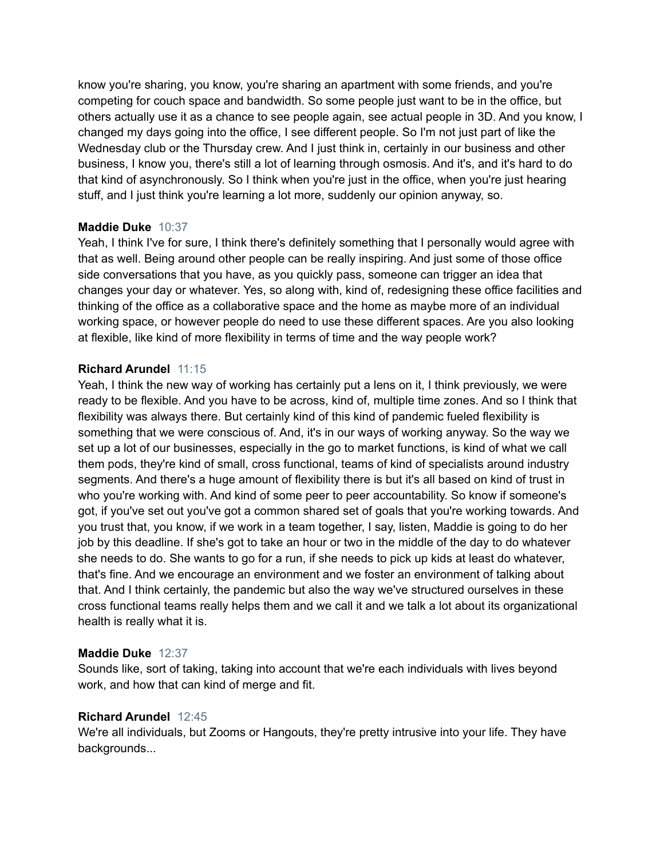know you're sharing, you know, you're sharing an apartment with some friends, and you're competing for couch space and bandwidth. So some people just want to be in the office, but others actually use it as a chance to see people again, see actual people in 3D. And you know, I changed my days going into the office, I see different people. So I'm not just part of like the Wednesday club or the Thursday crew. And I just think in, certainly in our business and other business, I know you, there's still a lot of learning through osmosis. And it's, and it's hard to do that kind of asynchronously. So I think when you're just in the office, when you're just hearing stuff, and I just think you're learning a lot more, suddenly our opinion anyway, so.

## **Maddie Duke** 10:37

Yeah, I think I've for sure, I think there's definitely something that I personally would agree with that as well. Being around other people can be really inspiring. And just some of those office side conversations that you have, as you quickly pass, someone can trigger an idea that changes your day or whatever. Yes, so along with, kind of, redesigning these office facilities and thinking of the office as a collaborative space and the home as maybe more of an individual working space, or however people do need to use these different spaces. Are you also looking at flexible, like kind of more flexibility in terms of time and the way people work?

## **Richard Arundel** 11:15

Yeah, I think the new way of working has certainly put a lens on it, I think previously, we were ready to be flexible. And you have to be across, kind of, multiple time zones. And so I think that flexibility was always there. But certainly kind of this kind of pandemic fueled flexibility is something that we were conscious of. And, it's in our ways of working anyway. So the way we set up a lot of our businesses, especially in the go to market functions, is kind of what we call them pods, they're kind of small, cross functional, teams of kind of specialists around industry segments. And there's a huge amount of flexibility there is but it's all based on kind of trust in who you're working with. And kind of some peer to peer accountability. So know if someone's got, if you've set out you've got a common shared set of goals that you're working towards. And you trust that, you know, if we work in a team together, I say, listen, Maddie is going to do her job by this deadline. If she's got to take an hour or two in the middle of the day to do whatever she needs to do. She wants to go for a run, if she needs to pick up kids at least do whatever, that's fine. And we encourage an environment and we foster an environment of talking about that. And I think certainly, the pandemic but also the way we've structured ourselves in these cross functional teams really helps them and we call it and we talk a lot about its organizational health is really what it is.

## **Maddie Duke** 12:37

Sounds like, sort of taking, taking into account that we're each individuals with lives beyond work, and how that can kind of merge and fit.

## **Richard Arundel** 12:45

We're all individuals, but Zooms or Hangouts, they're pretty intrusive into your life. They have backgrounds...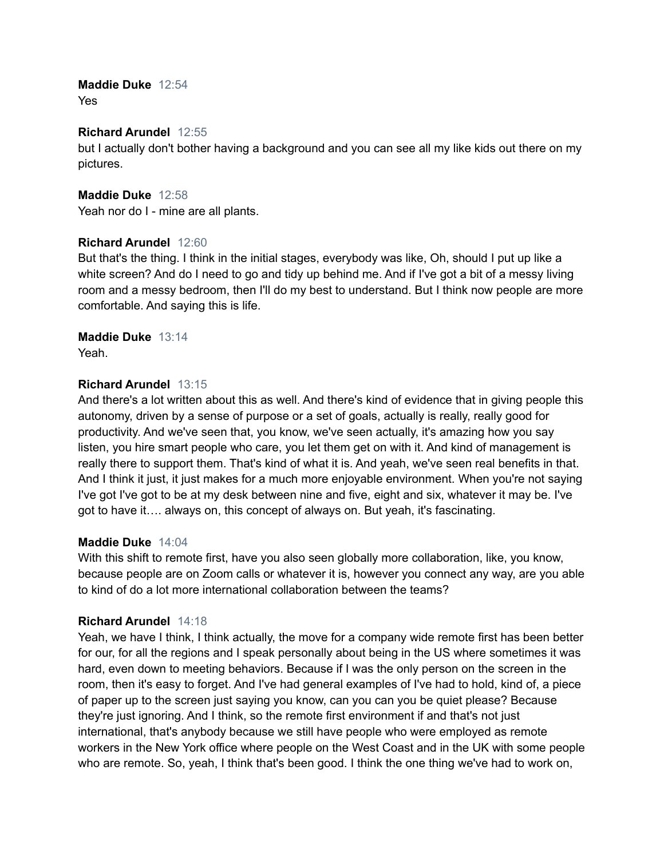#### **Maddie Duke** 12:54 Yes

## **Richard Arundel** 12:55

but I actually don't bother having a background and you can see all my like kids out there on my pictures.

**Maddie Duke** 12:58 Yeah nor do I - mine are all plants.

#### **Richard Arundel** 12:60

But that's the thing. I think in the initial stages, everybody was like, Oh, should I put up like a white screen? And do I need to go and tidy up behind me. And if I've got a bit of a messy living room and a messy bedroom, then I'll do my best to understand. But I think now people are more comfortable. And saying this is life.

## **Maddie Duke** 13:14

Yeah.

## **Richard Arundel** 13:15

And there's a lot written about this as well. And there's kind of evidence that in giving people this autonomy, driven by a sense of purpose or a set of goals, actually is really, really good for productivity. And we've seen that, you know, we've seen actually, it's amazing how you say listen, you hire smart people who care, you let them get on with it. And kind of management is really there to support them. That's kind of what it is. And yeah, we've seen real benefits in that. And I think it just, it just makes for a much more enjoyable environment. When you're not saying I've got I've got to be at my desk between nine and five, eight and six, whatever it may be. I've got to have it…. always on, this concept of always on. But yeah, it's fascinating.

#### **Maddie Duke** 14:04

With this shift to remote first, have you also seen globally more collaboration, like, you know, because people are on Zoom calls or whatever it is, however you connect any way, are you able to kind of do a lot more international collaboration between the teams?

## **Richard Arundel** 14:18

Yeah, we have I think, I think actually, the move for a company wide remote first has been better for our, for all the regions and I speak personally about being in the US where sometimes it was hard, even down to meeting behaviors. Because if I was the only person on the screen in the room, then it's easy to forget. And I've had general examples of I've had to hold, kind of, a piece of paper up to the screen just saying you know, can you can you be quiet please? Because they're just ignoring. And I think, so the remote first environment if and that's not just international, that's anybody because we still have people who were employed as remote workers in the New York office where people on the West Coast and in the UK with some people who are remote. So, yeah, I think that's been good. I think the one thing we've had to work on,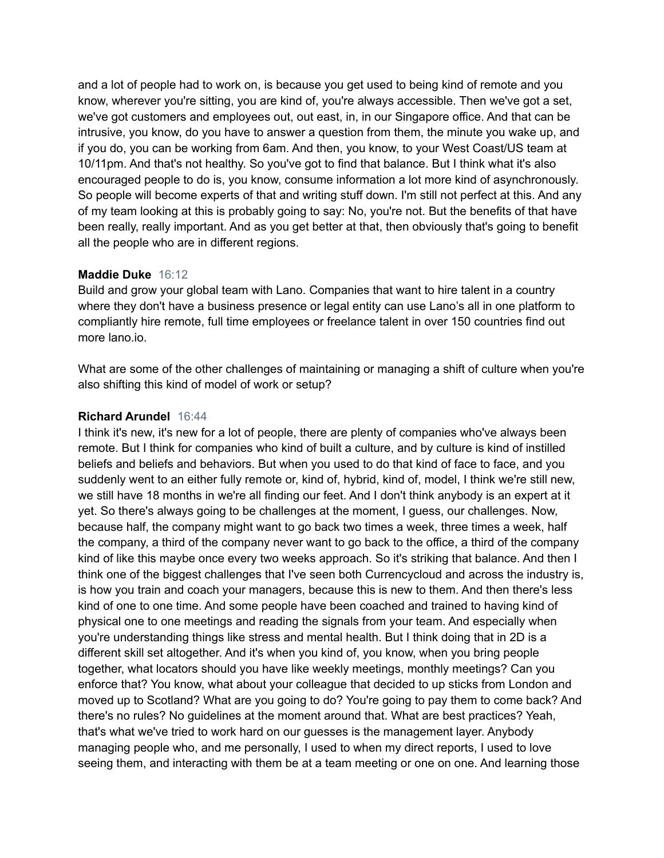and a lot of people had to work on, is because you get used to being kind of remote and you know, wherever you're sitting, you are kind of, you're always accessible. Then we've got a set, we've got customers and employees out, out east, in, in our Singapore office. And that can be intrusive, you know, do you have to answer a question from them, the minute you wake up, and if you do, you can be working from 6am. And then, you know, to your West Coast/US team at 10/11pm. And that's not healthy. So you've got to find that balance. But I think what it's also encouraged people to do is, you know, consume information a lot more kind of asynchronously. So people will become experts of that and writing stuff down. I'm still not perfect at this. And any of my team looking at this is probably going to say: No, you're not. But the benefits of that have been really, really important. And as you get better at that, then obviously that's going to benefit all the people who are in different regions.

## **Maddie Duke** 16:12

Build and grow your global team with Lano. Companies that want to hire talent in a country where they don't have a business presence or legal entity can use Lano's all in one platform to compliantly hire remote, full time employees or freelance talent in over 150 countries find out more lano.io.

What are some of the other challenges of maintaining or managing a shift of culture when you're also shifting this kind of model of work or setup?

## **Richard Arundel** 16:44

I think it's new, it's new for a lot of people, there are plenty of companies who've always been remote. But I think for companies who kind of built a culture, and by culture is kind of instilled beliefs and beliefs and behaviors. But when you used to do that kind of face to face, and you suddenly went to an either fully remote or, kind of, hybrid, kind of, model, I think we're still new, we still have 18 months in we're all finding our feet. And I don't think anybody is an expert at it yet. So there's always going to be challenges at the moment, I guess, our challenges. Now, because half, the company might want to go back two times a week, three times a week, half the company, a third of the company never want to go back to the office, a third of the company kind of like this maybe once every two weeks approach. So it's striking that balance. And then I think one of the biggest challenges that I've seen both Currencycloud and across the industry is, is how you train and coach your managers, because this is new to them. And then there's less kind of one to one time. And some people have been coached and trained to having kind of physical one to one meetings and reading the signals from your team. And especially when you're understanding things like stress and mental health. But I think doing that in 2D is a different skill set altogether. And it's when you kind of, you know, when you bring people together, what locators should you have like weekly meetings, monthly meetings? Can you enforce that? You know, what about your colleague that decided to up sticks from London and moved up to Scotland? What are you going to do? You're going to pay them to come back? And there's no rules? No guidelines at the moment around that. What are best practices? Yeah, that's what we've tried to work hard on our guesses is the management layer. Anybody managing people who, and me personally, I used to when my direct reports, I used to love seeing them, and interacting with them be at a team meeting or one on one. And learning those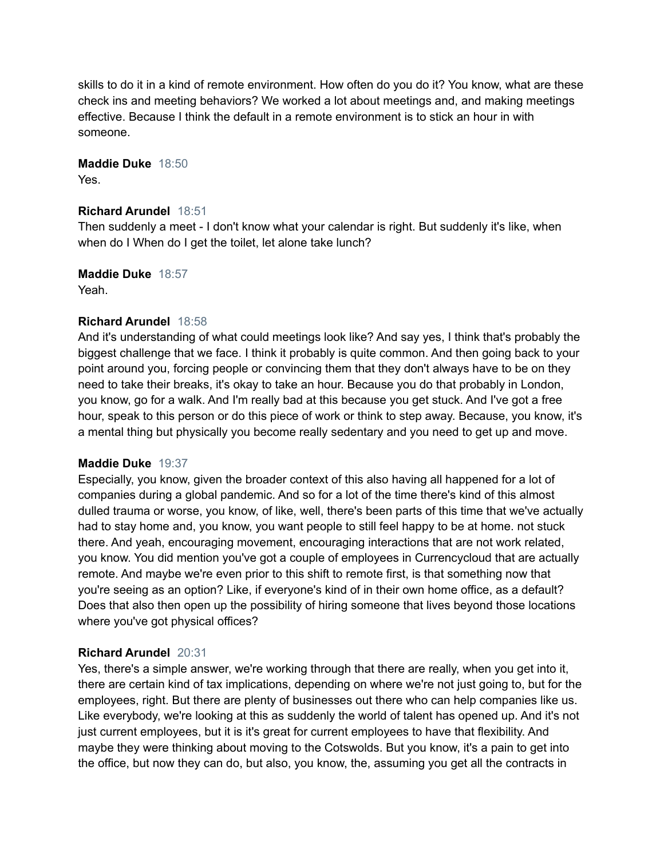skills to do it in a kind of remote environment. How often do you do it? You know, what are these check ins and meeting behaviors? We worked a lot about meetings and, and making meetings effective. Because I think the default in a remote environment is to stick an hour in with someone.

**Maddie Duke** 18:50 Yes.

#### **Richard Arundel** 18:51

Then suddenly a meet - I don't know what your calendar is right. But suddenly it's like, when when do I When do I get the toilet, let alone take lunch?

**Maddie Duke** 18:57 Yeah.

## **Richard Arundel** 18:58

And it's understanding of what could meetings look like? And say yes, I think that's probably the biggest challenge that we face. I think it probably is quite common. And then going back to your point around you, forcing people or convincing them that they don't always have to be on they need to take their breaks, it's okay to take an hour. Because you do that probably in London, you know, go for a walk. And I'm really bad at this because you get stuck. And I've got a free hour, speak to this person or do this piece of work or think to step away. Because, you know, it's a mental thing but physically you become really sedentary and you need to get up and move.

## **Maddie Duke** 19:37

Especially, you know, given the broader context of this also having all happened for a lot of companies during a global pandemic. And so for a lot of the time there's kind of this almost dulled trauma or worse, you know, of like, well, there's been parts of this time that we've actually had to stay home and, you know, you want people to still feel happy to be at home. not stuck there. And yeah, encouraging movement, encouraging interactions that are not work related, you know. You did mention you've got a couple of employees in Currencycloud that are actually remote. And maybe we're even prior to this shift to remote first, is that something now that you're seeing as an option? Like, if everyone's kind of in their own home office, as a default? Does that also then open up the possibility of hiring someone that lives beyond those locations where you've got physical offices?

## **Richard Arundel** 20:31

Yes, there's a simple answer, we're working through that there are really, when you get into it, there are certain kind of tax implications, depending on where we're not just going to, but for the employees, right. But there are plenty of businesses out there who can help companies like us. Like everybody, we're looking at this as suddenly the world of talent has opened up. And it's not just current employees, but it is it's great for current employees to have that flexibility. And maybe they were thinking about moving to the Cotswolds. But you know, it's a pain to get into the office, but now they can do, but also, you know, the, assuming you get all the contracts in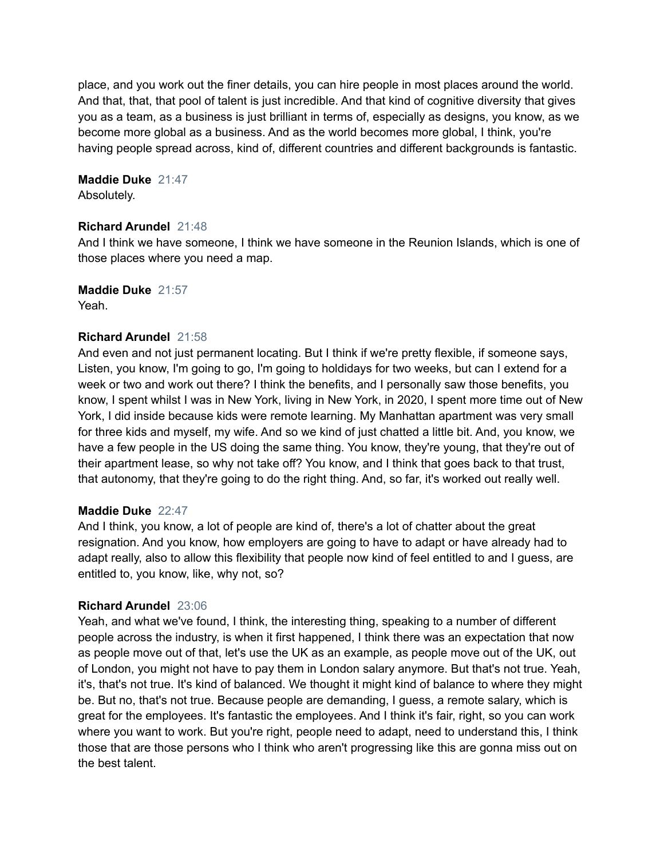place, and you work out the finer details, you can hire people in most places around the world. And that, that, that pool of talent is just incredible. And that kind of cognitive diversity that gives you as a team, as a business is just brilliant in terms of, especially as designs, you know, as we become more global as a business. And as the world becomes more global, I think, you're having people spread across, kind of, different countries and different backgrounds is fantastic.

**Maddie Duke** 21:47

Absolutely.

## **Richard Arundel** 21:48

And I think we have someone, I think we have someone in the Reunion Islands, which is one of those places where you need a map.

## **Maddie Duke** 21:57

Yeah.

## **Richard Arundel** 21:58

And even and not just permanent locating. But I think if we're pretty flexible, if someone says, Listen, you know, I'm going to go, I'm going to holdidays for two weeks, but can I extend for a week or two and work out there? I think the benefits, and I personally saw those benefits, you know, I spent whilst I was in New York, living in New York, in 2020, I spent more time out of New York, I did inside because kids were remote learning. My Manhattan apartment was very small for three kids and myself, my wife. And so we kind of just chatted a little bit. And, you know, we have a few people in the US doing the same thing. You know, they're young, that they're out of their apartment lease, so why not take off? You know, and I think that goes back to that trust, that autonomy, that they're going to do the right thing. And, so far, it's worked out really well.

## **Maddie Duke** 22:47

And I think, you know, a lot of people are kind of, there's a lot of chatter about the great resignation. And you know, how employers are going to have to adapt or have already had to adapt really, also to allow this flexibility that people now kind of feel entitled to and I guess, are entitled to, you know, like, why not, so?

## **Richard Arundel** 23:06

Yeah, and what we've found, I think, the interesting thing, speaking to a number of different people across the industry, is when it first happened, I think there was an expectation that now as people move out of that, let's use the UK as an example, as people move out of the UK, out of London, you might not have to pay them in London salary anymore. But that's not true. Yeah, it's, that's not true. It's kind of balanced. We thought it might kind of balance to where they might be. But no, that's not true. Because people are demanding, I guess, a remote salary, which is great for the employees. It's fantastic the employees. And I think it's fair, right, so you can work where you want to work. But you're right, people need to adapt, need to understand this, I think those that are those persons who I think who aren't progressing like this are gonna miss out on the best talent.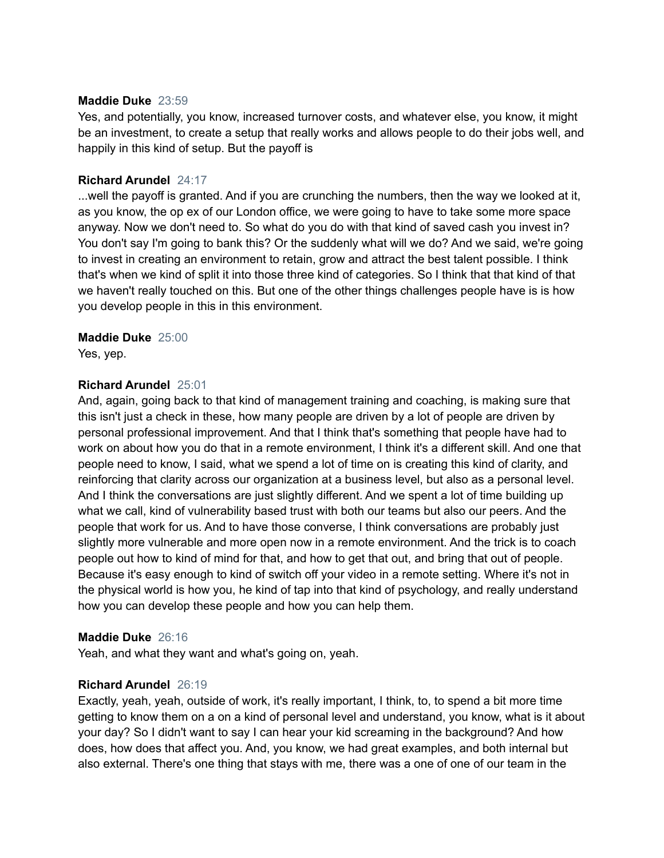#### **Maddie Duke** 23:59

Yes, and potentially, you know, increased turnover costs, and whatever else, you know, it might be an investment, to create a setup that really works and allows people to do their jobs well, and happily in this kind of setup. But the payoff is

#### **Richard Arundel** 24:17

...well the payoff is granted. And if you are crunching the numbers, then the way we looked at it, as you know, the op ex of our London office, we were going to have to take some more space anyway. Now we don't need to. So what do you do with that kind of saved cash you invest in? You don't say I'm going to bank this? Or the suddenly what will we do? And we said, we're going to invest in creating an environment to retain, grow and attract the best talent possible. I think that's when we kind of split it into those three kind of categories. So I think that that kind of that we haven't really touched on this. But one of the other things challenges people have is is how you develop people in this in this environment.

#### **Maddie Duke** 25:00

Yes, yep.

## **Richard Arundel** 25:01

And, again, going back to that kind of management training and coaching, is making sure that this isn't just a check in these, how many people are driven by a lot of people are driven by personal professional improvement. And that I think that's something that people have had to work on about how you do that in a remote environment, I think it's a different skill. And one that people need to know, I said, what we spend a lot of time on is creating this kind of clarity, and reinforcing that clarity across our organization at a business level, but also as a personal level. And I think the conversations are just slightly different. And we spent a lot of time building up what we call, kind of vulnerability based trust with both our teams but also our peers. And the people that work for us. And to have those converse, I think conversations are probably just slightly more vulnerable and more open now in a remote environment. And the trick is to coach people out how to kind of mind for that, and how to get that out, and bring that out of people. Because it's easy enough to kind of switch off your video in a remote setting. Where it's not in the physical world is how you, he kind of tap into that kind of psychology, and really understand how you can develop these people and how you can help them.

#### **Maddie Duke** 26:16

Yeah, and what they want and what's going on, yeah.

#### **Richard Arundel** 26:19

Exactly, yeah, yeah, outside of work, it's really important, I think, to, to spend a bit more time getting to know them on a on a kind of personal level and understand, you know, what is it about your day? So I didn't want to say I can hear your kid screaming in the background? And how does, how does that affect you. And, you know, we had great examples, and both internal but also external. There's one thing that stays with me, there was a one of one of our team in the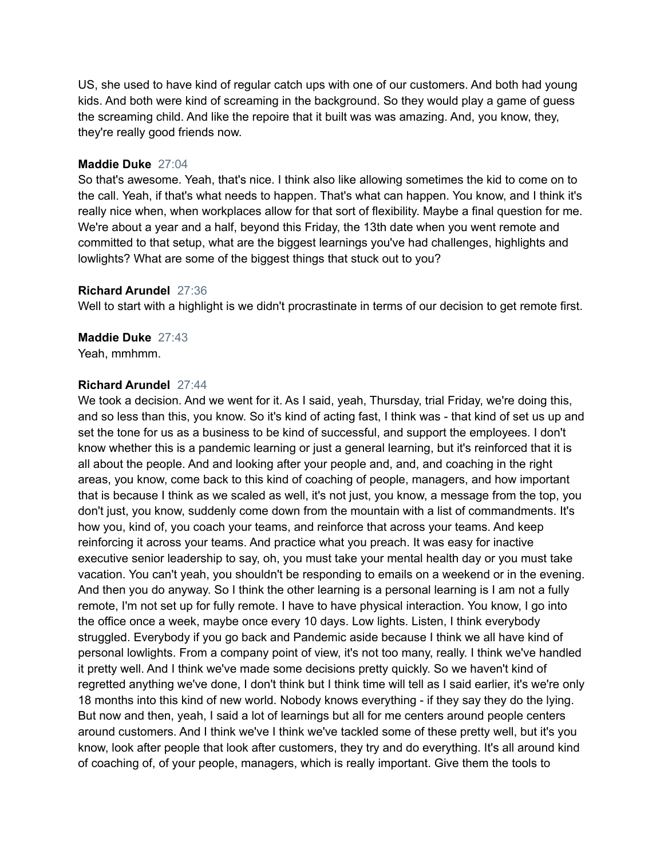US, she used to have kind of regular catch ups with one of our customers. And both had young kids. And both were kind of screaming in the background. So they would play a game of guess the screaming child. And like the repoire that it built was was amazing. And, you know, they, they're really good friends now.

#### **Maddie Duke** 27:04

So that's awesome. Yeah, that's nice. I think also like allowing sometimes the kid to come on to the call. Yeah, if that's what needs to happen. That's what can happen. You know, and I think it's really nice when, when workplaces allow for that sort of flexibility. Maybe a final question for me. We're about a year and a half, beyond this Friday, the 13th date when you went remote and committed to that setup, what are the biggest learnings you've had challenges, highlights and lowlights? What are some of the biggest things that stuck out to you?

#### **Richard Arundel** 27:36

Well to start with a highlight is we didn't procrastinate in terms of our decision to get remote first.

**Maddie Duke** 27:43 Yeah, mmhmm.

#### **Richard Arundel** 27:44

We took a decision. And we went for it. As I said, yeah, Thursday, trial Friday, we're doing this, and so less than this, you know. So it's kind of acting fast, I think was - that kind of set us up and set the tone for us as a business to be kind of successful, and support the employees. I don't know whether this is a pandemic learning or just a general learning, but it's reinforced that it is all about the people. And and looking after your people and, and, and coaching in the right areas, you know, come back to this kind of coaching of people, managers, and how important that is because I think as we scaled as well, it's not just, you know, a message from the top, you don't just, you know, suddenly come down from the mountain with a list of commandments. It's how you, kind of, you coach your teams, and reinforce that across your teams. And keep reinforcing it across your teams. And practice what you preach. It was easy for inactive executive senior leadership to say, oh, you must take your mental health day or you must take vacation. You can't yeah, you shouldn't be responding to emails on a weekend or in the evening. And then you do anyway. So I think the other learning is a personal learning is I am not a fully remote, I'm not set up for fully remote. I have to have physical interaction. You know, I go into the office once a week, maybe once every 10 days. Low lights. Listen, I think everybody struggled. Everybody if you go back and Pandemic aside because I think we all have kind of personal lowlights. From a company point of view, it's not too many, really. I think we've handled it pretty well. And I think we've made some decisions pretty quickly. So we haven't kind of regretted anything we've done, I don't think but I think time will tell as I said earlier, it's we're only 18 months into this kind of new world. Nobody knows everything - if they say they do the lying. But now and then, yeah, I said a lot of learnings but all for me centers around people centers around customers. And I think we've I think we've tackled some of these pretty well, but it's you know, look after people that look after customers, they try and do everything. It's all around kind of coaching of, of your people, managers, which is really important. Give them the tools to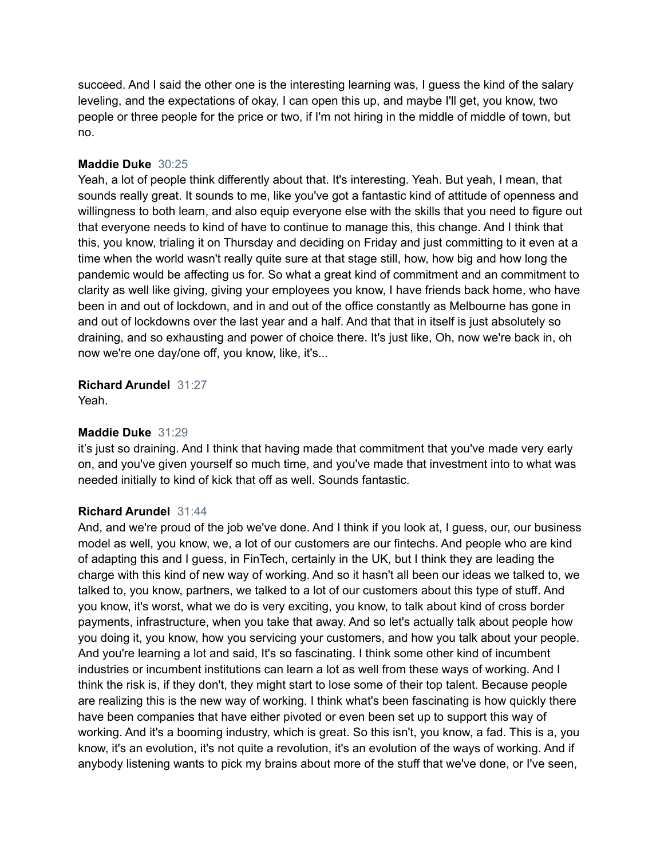succeed. And I said the other one is the interesting learning was, I guess the kind of the salary leveling, and the expectations of okay, I can open this up, and maybe I'll get, you know, two people or three people for the price or two, if I'm not hiring in the middle of middle of town, but no.

### **Maddie Duke** 30:25

Yeah, a lot of people think differently about that. It's interesting. Yeah. But yeah, I mean, that sounds really great. It sounds to me, like you've got a fantastic kind of attitude of openness and willingness to both learn, and also equip everyone else with the skills that you need to figure out that everyone needs to kind of have to continue to manage this, this change. And I think that this, you know, trialing it on Thursday and deciding on Friday and just committing to it even at a time when the world wasn't really quite sure at that stage still, how, how big and how long the pandemic would be affecting us for. So what a great kind of commitment and an commitment to clarity as well like giving, giving your employees you know, I have friends back home, who have been in and out of lockdown, and in and out of the office constantly as Melbourne has gone in and out of lockdowns over the last year and a half. And that that in itself is just absolutely so draining, and so exhausting and power of choice there. It's just like, Oh, now we're back in, oh now we're one day/one off, you know, like, it's...

**Richard Arundel** 31:27

Yeah.

## **Maddie Duke** 31:29

it's just so draining. And I think that having made that commitment that you've made very early on, and you've given yourself so much time, and you've made that investment into to what was needed initially to kind of kick that off as well. Sounds fantastic.

## **Richard Arundel** 31:44

And, and we're proud of the job we've done. And I think if you look at, I guess, our, our business model as well, you know, we, a lot of our customers are our fintechs. And people who are kind of adapting this and I guess, in FinTech, certainly in the UK, but I think they are leading the charge with this kind of new way of working. And so it hasn't all been our ideas we talked to, we talked to, you know, partners, we talked to a lot of our customers about this type of stuff. And you know, it's worst, what we do is very exciting, you know, to talk about kind of cross border payments, infrastructure, when you take that away. And so let's actually talk about people how you doing it, you know, how you servicing your customers, and how you talk about your people. And you're learning a lot and said, It's so fascinating. I think some other kind of incumbent industries or incumbent institutions can learn a lot as well from these ways of working. And I think the risk is, if they don't, they might start to lose some of their top talent. Because people are realizing this is the new way of working. I think what's been fascinating is how quickly there have been companies that have either pivoted or even been set up to support this way of working. And it's a booming industry, which is great. So this isn't, you know, a fad. This is a, you know, it's an evolution, it's not quite a revolution, it's an evolution of the ways of working. And if anybody listening wants to pick my brains about more of the stuff that we've done, or I've seen,